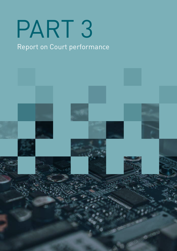# PART 3

## Report on Court performance

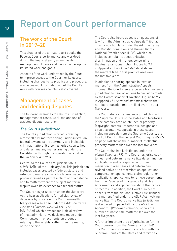# Report on Court performance

## The work of the Court in 2019–20

This chapter of the annual report details the Federal Court's performance and workload during the financial year, as well as its management of cases and performance against its stated workload goals.

Aspects of the work undertaken by the Court to improve access to the Court for its users, including changes to its practice and procedure, are discussed. Information about the Court's work with overseas courts is also covered.

## Management of cases and deciding disputes

The following examines the Court's jurisdiction, management of cases, workload and use of assisted dispute resolution.

#### The Court's jurisdiction

The Court's jurisdiction is broad, covering almost all civil matters arising under Australian federal law and some summary and indictable criminal matters. It also has jurisdiction to hear and determine any matter arising under the Constitution through the operation of s 39B of the Judiciary Act 1903.

Central to the Court's civil jurisdiction is s 39B (1A)(c) of the Judiciary Act. This jurisdiction includes cases created by federal statute and extends to matters in which a federal issue is properly raised as part of a claim or of a defence and to matters where the subject matter in dispute owes its existence to a federal statute.

The Court has jurisdiction under the Judiciary Act to hear applications for judicial review of decisions by officers of the Commonwealth. Many cases also arise under the Administrative Decisions (Judicial Review) Act 1977 (ADJR Act) which provides for judicial review of most administrative decisions made under Commonwealth enactments on grounds relating to the legality, rather than the merits, of the decision.

The Court also hears appeals on questions of law from the Administrative Appeals Tribunal. This jurisdiction falls under the Administrative and Constitutional Law and Human Rights National Practice Area (NPA), which also includes complaints about unlawful discrimination and matters concerning the Australian Constitution. Figure A5.9.1 in Appendix 5 (Workload statistics) shows the matters filed in this practice area over the last five years.

In addition to hearing appeals in taxation matters from the Administrative Appeals Tribunal, the Court also exercises a first instance jurisdiction to hear objections to decisions made by the Commissioner of Taxation. Figure A5.9.7 in Appendix 5 (Workload statistics) shows the number of taxation matters filed over the last five years.

The Court shares first instance jurisdiction with the Supreme Courts of the states and territories in the complex area of intellectual property (copyright, patents, trademarks, designs and circuit layouts). All appeals in these cases, including appeals from the Supreme Courts, are to a Full Court of the Federal Court. Figure A5.9.5 on page 140 shows the number of intellectual property matters filed over the last five years.

The Court also has jurisdiction under the Native Title Act 1993. The Court has jurisdiction to hear and determine native title determination applications and is responsible for their mediation. It also hears and determines revised native title determination applications, compensation applications, claim registration applications, applications to remove agreements from the Register of Indigenous Land Use Agreements and applications about the transfer of records. In addition, the Court also hears appeals from the National Native Title Tribunal and matters filed under the ADJR Act involving native title. The Court's native title jurisdiction is discussed on page 140. Figure A5.9.6 in Appendix 5 (Workload statistics) shows the number of native title matters filed over the last five years.

A further important area of jurisdiction for the Court derives from the Admiralty Act 1988. The Court has concurrent jurisdiction with the Supreme Courts of the states and territories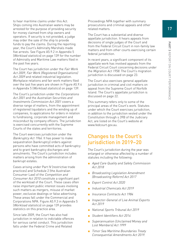to hear maritime claims under this Act. Ships coming into Australian waters may be arrested for the purpose of providing security for money claimed from ship owners and operators. If security is not provided, a judge may order the sale of the ship to provide funds to pay the claims. During the reporting year, the Court's Admiralty Marshals made five arrests. See Figure A5.9.2 in Appendix 5 (Workload statistics) on page 139 for the number of Admiralty and Maritime Law matters filed in the past five years.

The Court has jurisdiction under the Fair Work Act 2009, Fair Work (Registered Organisations) Act 2009 and related industrial legislation. Workplace relations and fair work matters filed over the last five years are shown in Figure A5.9.4 in Appendix 5 (Workload statistics) on page 139.

The Court's jurisdiction under the Corporations Act 2001 and the Australian Securities and Investments Commission Act 2001 covers a diverse range of matters, from the appointment of registered liquidators and the winding up of companies, to applications for orders in relation to fundraising, corporate management and misconduct by company officers. The jurisdiction is exercised concurrently with the Supreme Courts of the states and territories.

The Court exercises jurisdiction under the Bankruptcy Act 1966. It has power to make sequestration (bankruptcy) orders against persons who have committed acts of bankruptcy and to grant bankruptcy discharges and annulments. The Court's jurisdiction includes matters arising from the administration of bankrupt estates.

Cases arising under Part IV (restrictive trade practices) and Schedule 2 (the Australian Consumer Law) of the Competition and Consumer Act 2010 constitute a significant part of the workload of the Court. These cases often raise important public interest issues involving such matters as mergers, misuse of market power, exclusive dealings or false advertising. These areas fall under the Commercial and Corporations NPA. Figure A5.9.3 in Appendix 5 (Workload statistics) on page 139 provides statistics on this practice area.

Since late 2009, the Court has also had jurisdiction in relation to indictable offences for serious cartel conduct. This jurisdiction falls under the Federal Crime and Related

Proceedings NPA together with summary prosecutions and criminal appeals and other related matters.

The Court has a substantial and diverse appellate jurisdiction. It hears appeals from decisions of single judges of the Court and from the Federal Circuit Court in non-family law matters and from other courts exercising certain federal jurisdiction.

In recent years, a significant component of its appellate work has involved appeals from the Federal Circuit Court concerning decisions under the Migration Act 1958. The Court's migration jurisdiction is discussed on page 23.

The Court also exercises general appellate jurisdiction in criminal and civil matters on appeal from the Supreme Court of Norfolk Island. The Court's appellate jurisdiction is discussed on page 22.

This summary refers only to some of the principal areas of the Court's work. Statutes under which the Court exercises jurisdiction, in addition to the jurisdiction vested under the Constitution through s 39B of the Judiciary Act, are listed on the Court's website at [www.fedcourt.gov.au](http://www.fedcourt.gov.au).

### Changes to the Court's jurisdiction in 2019–20

The Court's jurisdiction during the year was enlarged or otherwise affected by a number of statutes including the following:

- Aged Care Quality and Safety Commission Act 2018
- Broadcasting Legislation Amendment (Broadcasting Reform) Act 2017
- Export Control Act 2020
- Industrial Chemicals Act 2019
- Insurance Contracts Act 1984
- Inspector-General of Live Animal Exports Act 2019
- National Sports Tribunal Act 2019
- Student Identifiers Act 2014
- Superannuation (Unclaimed Money and Lost Members) Act 1999
- Timor Sea Maritime Boundaries Treaty Consequential Amendments Act 2019.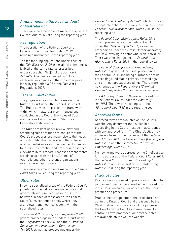#### Amendments to the Federal Court of Australia Act

There were no amendments made to the Federal Court of Australia Act during the reporting year.

#### Fee regulation

The operation of the Federal Court and Federal Circuit Court Regulation 2012 remained unchanged in the reporting year.

The fee for filing applications under s 539 of the Fair Work Act 2009 in certain circumstances is fixed at the same rate as prescribed under subsection 395(2) of the Fair Work Act 2009. That fee is adjusted on 1 July of each year for changes in the consumer price index by regulation 3.07 of the Fair Work Regulations 2009.

#### Federal Court Rules

The judges are responsible for making the Rules of Court under the Federal Court Act. The Rules provide the procedural framework within which matters are commenced and conducted in the Court. The Rules of Court are made as Commonwealth Statutory Legislative Instruments.

The Rules are kept under review. New and amending rules are made to ensure that the Court's procedures are responsive to the needs of modern litigation. A review of the Rules is often undertaken as a consequence of changes to the Court's practice and procedure described elsewhere in this report. Proposed amendments are discussed with the Law Council of Australia and other relevant organisations, as considered appropriate.

There were no amendments made to the Federal Court Rules 2011 during the reporting year.

#### Other rules

In some specialised areas of the Federal Court's jurisdiction, the judges have made rules that govern relevant proceedings in the Court; however, in each of those areas, the Federal Court Rules continue to apply where they are relevant and not inconsistent with the specialised rules.

The Federal Court (Corporations) Rules 2000 govern proceedings in the Federal Court under the Corporations Act 2001 and the Australian Securities and Investments Commission Act 2001, as well as proceedings under the

Cross-Border Insolvency Act 2008 which involve a corporate debtor. There were no changes to the Federal Court (Corporations) Rules 2000 in the reporting year.

The Federal Court (Bankruptcy) Rules 2016 govern proceedings in the Federal Court under the Bankruptcy Act 1966, as well as proceedings under the Cross-Border Insolvency Act 2008 involving a debtor who is an individual. There were no changes to the Federal Court (Bankruptcy) Rules 2016 in the reporting year.

The Federal Court (Criminal Proceedings) Rules 2016 govern all criminal proceedings in the Federal Court, including summary criminal proceedings, indictable primary proceedings and criminal appeal proceedings. There were no changes to the Federal Court (Criminal Proceedings) Rules 2016 in the reporting year.

The Admiralty Rules 1988 govern proceedings in the Federal Court under the Admiralty Act 1988. There were no changes to the Admiralty Rules 1988 in the reporting year.

#### Approved forms

Approved forms are available on the Court's website. Any document that is filed in a proceeding in the Court must be in accordance with any approved form. The Chief Justice may approve a form for the purposes of the Federal Court Rules 2011, the Federal Court (Bankruptcy) Rules 2016 and the Federal Court (Criminal Proceedings) Rules 2016.

No new forms were approved by the Chief Justice for the purposes of the Federal Court Rules 2011, the Federal Court (Criminal Proceedings) Rules <sup>2016</sup> or the Federal Court (Bankruptcy) Rules 2016 during the reporting year.

#### Practice notes

Practice notes are used to provide information to parties and their lawyers involved in proceedings in the Court on particular aspects of the Court's practice and procedure.

Practice notes supplement the procedures set out in the Rules of Court and are issued by the Chief Justice upon the advice of the judges of the Court and the Court's inherent power to control its own processes. All practice notes are available on the Court's website.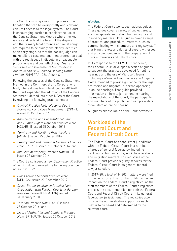19**PART 3 REPORT ON COURT PERFORMANCE** Report on Court performance

The Court is moving away from process driven litigation that can be overly costly and slow and can limit access to the legal system. The Court is encouraging parties to consider the use of the Concise Statement Method where the key issues and facts at the heart of the dispute, and the primary legal grounds and relief sought, are required to be plainly and clearly identified at an early stage, so that the docket judge can make tailored case management orders that deal with the real issues in dispute in a reasonable, proportionate and cost effect way: Australian Securities and Investments Commission v Australia and New Zealand Banking Group Limited [2019] FCA 1284 (Allsop CJ).

Following the success of the Concise Statement Method in the Commercial and Corporations NPA, where it was first introduced, in 2019–20 the Court expanded the adoption of the Concise Statement Method into other NPAs of the Court, by revising the following practice notes:

- Central Practice Note: National Court Framework and Case Management (CPN-1) issued 25 October 2016
- Administrative and Constitutional Law and Human Rights National Practice Note (ACLHR-1) issued 25 October 2016
- Admiralty and Maritime Practice Note (A&M-1) issued 25 October 2016
- Employment and Industrial Relations Practice Note (E&IR-1) issued 25 October 2016, and
- Intellectual Property Practice Note (IP-1) issued 25 October 2016.

The Court also issued a new Defamation Practice Note (DEF-1) and revised the following practice notes in 2019–20:

- Class Actions General Practice Note (GPN-CA) issued 20 December 2019
- Cross-Border Insolvency Practice Note: Cooperation with Foreign Courts or Foreign Representatives (GPN-XBDR) issued 31 January 2020
- *Taxation Practice Note* (TAX-1) issued 25 October 2016, and
- Lists of Authorities and Citations Practice Note (GPN-AUTH) issued 25 October 2016.

#### Guides

The Federal Court also issues national guides. These guides cover a variety of subject areas, such as appeals, migration, human rights and insolvency matters. Other guides cover a range of practical and procedural matters, such as communicating with chambers and registry staff, clarifying the role and duties of expert witnesses, and providing guidance on the preparation of costs summaries and bills of costs.

In its response to the COVID-19 pandemic, the Federal Court developed a series of guides to support the practices developed for online hearings and the use of Microsoft Teams, including a National Practitioners and Litigants Guide intended to provide guidance for the legal profession and litigants-in-person appearing in online hearings. That guide provided information on how to join an online hearing, the expectations of the Court, the participants and members of the public, and sample orders to facilitate an online hearing.

All guides are available on the Court's website.

## Workload of the Federal Court and Federal Circuit Court

The Federal Court has concurrent jurisdiction with the Federal Circuit Court in a number of areas of general federal law including bankruptcy, human rights, workplace relations and migration matters. The registries of the Federal Court provide registry services for the Federal Circuit Court in its general federal law jurisdiction.

In 2019–20, a total of 14,802 matters were filed in the two courts. The number of filings has an impact on the Federal Court's registries, as the staff members of the Federal Court's registries process the documents filed for both the Federal Court and Federal Circuit Court (in its general federal law jurisdictions). The registries also provide the administrative support for each matter to be heard and determined by the relevant court.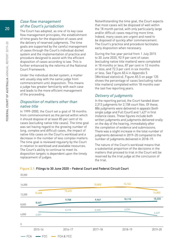#### Case flow management of the Court's jurisdiction

The Court has adopted, as one of its key case flow management principles, the establishment of time goals for the disposition of cases and the delivery of reserved judgments. The time goals are supported by the careful management of cases through the Court's individual docket system and the implementation of practice and procedure designed to assist with the efficient disposition of cases according to law. This is further enhanced by the reforms of the National Court Framework.

Under the individual docket system, a matter will usually stay with the same judge from commencement until disposition. This means a judge has greater familiarity with each case and leads to the more efficient management of the proceeding.

#### Disposition of matters other than native title

In 1999–2000, the Court set a goal of 18 months from commencement as the period within which it should dispose of at least 85 per cent of its cases (excluding native title cases). The time goal was set having regard to the growing number of long, complex and difficult cases, the impact of native title cases on the Court's workload and a decrease in the number of less complex matters. The time goal is reviewed regularly by the Court in relation to workload and available resources. The Court's ability to continue to meet its disposition targets is dependent upon the timely replacement of judges.

Notwithstanding the time goal, the Court expects that most cases will be disposed of well within the 18 month period, with only particularly large and/or difficult cases requiring more time. Indeed, many cases are urgent and need to be disposed of quickly after commencement. The Court's practice and procedure facilitates early disposition when necessary.

During the five-year period from 1 July 2015 to 30 June 2020, 92.9 per cent of cases (excluding native title matters) were completed in 18 months or less; 87 per cent in 12 months or less; and 72.3 per cent in six months or less. See Figure A5.4 in Appendix 5 (Workload statistics). Figure A5.5 on page 135 shows the percentage of cases (excluding native title matters) completed within 18 months over the last five reporting years.

#### Delivery of judgments

In the reporting period, the Court handed down 2,313 judgments for 2,158 court files. Of these, 886 judgments were delivered in appeals (both single judge and Full Court) and 1,427 in first instance cases. These figures include both written judgments and judgments delivered orally on the day of the hearing, immediately after the completion of evidence and submissions. There was a slight increase in the total number of judgments delivered in 2019–20 compared to the number of judgments delivered in 2018–19.

The nature of the Court's workload means that a substantial proportion of the decisions in the matters that proceed to trial in the Court will be reserved by the trial judge at the conclusion of the trial.



#### Figure 3.1: Filings to 30 June 2020 – Federal Court and Federal Circuit Court

20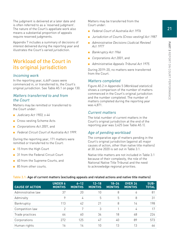The judgment is delivered at a later date and is often referred to as a 'reserved judgment'. The nature of the Court's appellate work also means a substantial proportion of appeals require reserved judgments.

Appendix 7 includes a summary of decisions of interest delivered during the reporting year and illustrates the Court's varied jurisdiction.

## Workload of the Court in its original jurisdiction

#### Incoming work

In the reporting year, 4,469 cases were commenced in, or transferred to, the Court's original jurisdiction. See Table A5.1 on page 130.

#### Matters transferred to and from the Court

Matters may be remitted or transferred to the Court under:

- Judiciary Act 1903, s 44
- Cross-vesting Scheme Acts
- *Corporations Act 2001*, and
- Federal Circuit Court of Australia Act 1999.

During the reporting year, 171 matters were remitted or transferred to the Court:

- 15 from the High Court
- 31 from the Federal Circuit Court
- 40 from the Supreme Courts, and
- 85 from other courts.

Matters may be transferred from the Court under:

- Federal Court of Australia Act 1976
- Jurisdiction of Courts (Cross-vesting) Act 1987
- Administrative Decisions (Judicial Review) Act 1977
- Bankruptcy Act 1966
- Corporations Act 2001, and
- Administrative Appeals Tribunal Act 1975.

During 2019–20, no matters were transferred from the Court.

#### Matters completed

Figure A5.2 in Appendix 5 (Workload statistics) shows a comparison of the number of matters commenced in the Court's original jurisdiction and the number completed. The number of matters completed during the reporting year was 4,871.

#### Current matters

The total number of current matters in the Court's original jurisdiction at the end of the reporting year was 3,425 (see Table A5.1).

#### Age of pending workload

The comparative age of matters pending in the Court's original jurisdiction (against all major causes of action, other than native title matters) at 30 June 2020 is set out in Table 3.1.

Native title matters are not included in Table 3.1 because of their complexity, the role of the National Native Title Tribunal and the need to acknowledge regional priorities.

| <b>CAUSE OF ACTION</b> | <b>UNDER 6</b><br><b>MONTHS</b> | $6 - 12$<br><b>MONTHS</b> | $12 - 18$<br><b>MONTHS</b> | $18 - 24$<br><b>MONTHS</b> | <b>OVER 24</b><br><b>MONTHS</b> | SUB-<br><b>TOTAL</b> |
|------------------------|---------------------------------|---------------------------|----------------------------|----------------------------|---------------------------------|----------------------|
| Administrative law     | 37                              | 20                        | 10                         | 8                          | 6                               | 81                   |
| Admiralty              | 9                               | 4                         | 5                          | 5                          | 8                               | 31                   |
| Bankruptcy             | 113                             | 42                        | 21                         | 8                          | 14                              | 198                  |
| Competition law        | $\mathcal{P}$                   | 7                         | 3                          |                            | 4                               | 17                   |
| Trade practices        | 64                              | 60                        | 34                         | 18                         | 48                              | 224                  |
| Corporations           | 272                             | 125                       | 47                         | 40                         | 89                              | 573                  |
| Human rights           | 16                              | 14                        | 10                         | 13                         | 13                              | 66                   |

#### Table 3.1: Age of current matters (excluding appeals and related actions and native title matters)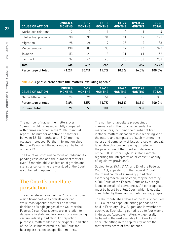| <b>CAUSE OF ACTION</b> | <b>UNDER 6</b><br><b>MONTHS</b> | $6 - 12$<br><b>MONTHS</b> | $12 - 18$<br><b>MONTHS</b> | $18 - 24$<br><b>MONTHS</b> | <b>OVER 24</b><br><b>MONTHS</b> | SUB-<br><b>TOTAL</b> |
|------------------------|---------------------------------|---------------------------|----------------------------|----------------------------|---------------------------------|----------------------|
| Workplace relations    | 2                               | 0                         |                            | 0                          |                                 | 4                    |
| Intellectual property  | 38                              | 34                        | 31                         | 21                         | 47                              | 171                  |
| Migration              | 98                              | 24                        | 17                         | 35                         | 9                               | 183                  |
| Miscellaneous          | 138                             | 83                        | 33                         | 27                         | 46                              | 327                  |
| Taxation               | 53                              | 21                        | 13                         | 31                         | 41                              | 159                  |
| Fair work              | 94                              | 41                        | 40                         | 25                         | 38                              | 238                  |
| <b>Total</b>           | 936                             | 475                       | 265                        | 232                        | 364                             | 2,272                |
| Percentage of total    | 41.2%                           | 20.9%                     | 11.7%                      | 10.2%                      | 16.0%                           | 100.0%               |

Table 3.2: Age of current native title matters (excluding appeals)

| <b>CAUSE OF ACTION</b> | <b>UNDER 6</b><br><b>MONTHS</b> | $6 - 12$<br><b>MONTHS</b> | $12 - 18$<br><b>MONTHS</b> | $18 - 24$<br><b>MONTHS</b> | <b>OVER 24</b><br><b>MONTHS</b> | SUB-<br><b>TOTAL</b> |
|------------------------|---------------------------------|---------------------------|----------------------------|----------------------------|---------------------------------|----------------------|
| Native title action    | 24                              | 26                        | h1                         | 32                         | 173                             | 306                  |
| Percentage of total    | 7.8%                            | 8.5%                      | <b>16.7%</b>               | 10.5%                      | 56.5%                           | 100.0%               |
| Running total          | 24                              | 50                        | 101                        | 133                        | 306                             |                      |

The number of native title matters over 18 months old increased slightly compared with figures recorded in the 2018–19 annual report. The number of native title matters between 12–18 months and 18–24 months old also increased. Further information about the Court's native title workload can be found on page 24.

The Court will continue to focus on reducing its pending caseload and the number of matters over 18 months old. A collection of graphs and statistics concerning the workload of the Court is contained in Appendix 5.

## The Court's appellate jurisdiction

The appellate workload of the Court constitutes a significant part of its overall workload. While most appellate matters arise from decisions of single judges of the Court or the Federal Circuit Court, some are in relation to decisions by state and territory courts exercising certain federal jurisdiction. For reporting purposes, matters filed in the original jurisdiction of the Court but referred to a Full Court for hearing are treated as appellate matters.

The number of appellate proceedings commenced in the Court is dependent on many factors, including the number of first instance matters disposed of in a reporting year, the nature and complexity of such matters, the nature and complexity of issues raised on appeal, legislative changes increasing or reducing the jurisdiction of the Court and decisions of the Full Court or High Court (for example, regarding the interpretation or constitutionality of legislative provisions).

Subject to ss 25(1), (1AA) and (5) of the Federal Court Act, appeals from the Federal Circuit Court and courts of summary jurisdiction exercising federal jurisdiction, may be heard by a Full Court of the Federal Court or by a single judge in certain circumstances. All other appeals must be heard by a Full Court, which is usually constituted by three, and sometimes five, judges.

The Court publishes details of the four scheduled Full Court and appellate sitting periods to be held in February, May, August and November of each year. Each sitting period is up to four weeks in duration. Appellate matters will generally be listed in the next available Full Court and appellate sitting in the capital city where the matter was heard at first instance.

22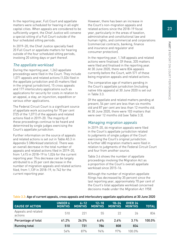In the reporting year, Full Court and appellate matters were scheduled for hearing in all eight capital cities. When appeals are considered to be sufficiently urgent, the Chief Justice will convene a special sitting of a Full Court outside of the four scheduled sitting periods.

In 2019–20, the Chief Justice specially fixed 20 Full Court or appellate matters for hearing outside of the four scheduled sitting periods, involving 20 sitting days or part thereof.

#### The appellate workload

During the reporting year, 1,263 appellate proceedings were filed in the Court. They include 1,071 appeals and related actions (1,026 filed in the appellate jurisdiction and 45 matters filed in the original jurisdiction), 15 cross appeals and 177 interlocutory applications such as applications for security for costs in relation to an appeal, a stay, an injunction, expedition or various other applications.

The Federal Circuit Court is a significant source of appellate work accounting for 70 per cent (725 of the 1,071) of the appeals and related actions filed in 2019–20. The majority of these proceedings continue to be heard and determined by single judges exercising the Court's appellate jurisdiction.

Further information on the source of appeals and related actions is set out in Table A5.3 in Appendix 5 (Workload statistics). There was an overall decrease in the total number of appeals and related actions filed in 2019–20, from 1,415 in 2018–19 to 1,026 for the current reporting year. This decrease can be largely attributed to a 35 per cent decrease in the number of migration appeals and related actions filed, from 1,139 in 2018–19, to 742 for the current reporting year.

However, there has been an increase in the Court's non-migration appeals and related actions since the 2018–19 fiscal year, particularly in the areas of taxation, administrative and constitutional law and human rights, and commercial and corporations (commercial contracts, banking, finance and insurance and regulator and consumer protection).

In the reporting year, 1,168 appeals and related actions were finalised. Of these, 335 matters were filed and finalised in the reporting year. At 30 June 2020, there were 834 appeals currently before the Court, with 571 of these being migration appeals and related actions.

The comparative age of matters pending in the Court's appellate jurisdiction (including native title appeals) at 30 June 2020 is set out in Table 3.3.

Of the appellate and related matters pending at present, 54 per cent are less than six months old and 87 per cent are less than 12 months old. At 30 June 2020, there were 103 matters that were over 12 months old (see Table 3.3).

#### Managing migration appeals

In 2019–20, 66 migration appeals were filed in the Court's appellate jurisdiction related to judgments of single judges of the Court exercising the Court's original jurisdiction. A further 680 migration matters were filed in relation to judgments of the Federal Circuit Court and four from another source.

Table 3.4 shows the number of appellate proceedings involving the Migration Act as a proportion of the Court's overall appellate workload since 2015–16.

Although the number of migration appellate filings has decreased by 35 percent since the last reporting year, approximately 70 per cent of the Court's total appellate workload concerned decisions made under the Migration Act 1958.

| <b>CAUSE OF ACTION</b>         | <b>UNDER 6</b><br><b>MONTHS</b> | $6 - 12$<br><b>MONTHS</b> | $12 - 18$<br><b>MONTHS</b> | $18 - 24$<br><b>MONTHS</b> | <b>OVER 24</b><br><b>MONTHS</b> | <b>TOTAL</b> |
|--------------------------------|---------------------------------|---------------------------|----------------------------|----------------------------|---------------------------------|--------------|
| Appeals and related<br>actions | 510                             | 221                       | 55                         | 22                         | 26                              | 834          |
| Percentage of total            | 61.2%                           | 26.5%                     | 6.6%                       | 2.6%                       | 3.1%                            | 100.0%       |
| <b>Running total</b>           | 510                             | 731                       | 786                        | 808                        | 834                             |              |
|                                | 54%                             | 87%                       | 94%                        | 97%                        | 1በበ በ%                          |              |

Table 3.3: Age of current appeals, cross appeals and interlocutory appellate applications at 30 June 2020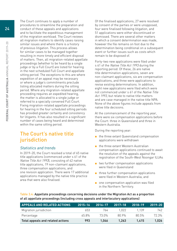The Court continues to apply a number of procedures to streamline the preparation and conduct of these appeals and applications and to facilitate the expeditious management of the migration workload. The Court reviews all migration matters to identify cases raising similar issues and where there is a history of previous litigation. This process allows for similar cases to be managed together resulting in more timely and efficient disposal of matters. Then, all migration-related appellate proceedings (whether to be heard by a single judge or by a Full Court) are listed for hearing in the next scheduled Full Court and appellate sitting period. The exceptions to this are where expedition of an appeal may be necessary or where a judge's commitments preclude listing allocated matters during the sitting period. Where any migration-related appellate proceeding requires an expedited hearing, the matter is allocated to a single judge or referred to a specially convened Full Court. Fixing migration-related appellate proceedings for hearing in the four scheduled sitting periods has provided greater certainty and consistency for litigants. It has also resulted in a significant number of cases being heard and determined within the same sitting period.

## The Court's native title jurisdiction

#### Statistics and trends

In 2019–20, the Court resolved a total of 65 native title applications (commenced under s 61 of the Native Title Act 1993), consisting of 42 native title applications, 19 non-claimant applications, three compensation applications, and one revision application. There were 17 additional applications managed by the native title practice area that were also finalised.

Of the finalised applications, 27 were resolved by consent of the parties or were unopposed, four were finalised following litigation, and 51 applications were either discontinued or dismissed. There are several other matters in which a consent determination was made, however the file remains on foot due to the determination being conditional on a subsequent event or further issues such as costs which remain to be disposed of.

Forty-two new applications were filed under s 61 of the Native Title Act 1993 during the reporting period. Of these, 26 are native title determination applications, seven are non-claimant applications, six are compensation applications, and three were applications to revise existing determinations. In addition, eight new applications were filed which were not commenced under s 61 of the Native Title Act 1993, but relate to native title matters and are case managed in the native title NPA. None of the above figures include appeals from native title decisions.

At the commencement of the reporting year, there were six compensation applications before the Court: three in Queensland and three in Western Australia.

During the reporting year:

- the three extant Queensland compensation applications were withdrawn
- the three extant Western Australian compensation applications continued to await the resolution of the appeals against the registration of the South-West Noongar ILUAs
- two further compensation applications were filed in Queensland
- three further compensation applications were filed in Western Australia, and
- one compensation application was filed in the Northern Territory.

Table 3.4: Appellate proceedings concerning decisions under the Migration Act as a proportion of all appellate proceedings (including cross appeals and interlocutory applications)

| <b>LAPPEALS AND RELATED ACTIONS</b> | $2015 - 16$ | 2016-17 | $2017 - 18$ | 2018-19 | $2019 - 20$ |
|-------------------------------------|-------------|---------|-------------|---------|-------------|
| Migration jurisdiction              | 653         | 764     | 1.022       | 1 1 3 9 | 742         |
| Percentage                          | 65.8%       | 73 በ%   | 80.9%       | 80.5%   | 72.3%       |
| Total appeals and related actions   | 993         | 1.046   | 1.263       | 1.415   | 1.026       |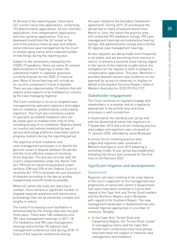At the end of the reporting year, there were 237 current native title applications, comprising 193 determination applications, 26 non-claimant applications, nine compensation applications, and nine variation applications. This is a downward trend from the 267 extant at the end of the previous financial year and reflects some intensive case management by the Court to resolve aging claims and a reduced number of new filings during the reporting year.

Subject to the constraints imposed by the COVID-19 pandemic, there are some 55 consent determinations or hearings of either the substantive matter or separate questions currently forecast for the 2020–21 financial year. Many of those hearings will include an on-country component if travel is feasible. There are also approximately 10 matters that will require some aspects to be mediated on-country by the case-managing registrar.

The Court continues to focus on targeted case management by specialist registrars and judges and on mediation, predominantly conducted by registrars. The Court also maintains a panel of specialist accredited mediators who can be called upon to mediate from time to time, including by way of co-mediation. Registry based, on-country and remote mediation by way of various technology platforms have been used to progress matters during the reporting period.

The objective of both mediation and case-management processes is to identify the genuine issues in dispute between the parties and the most effective means of resolving those disputes. This process accords with the Court's responsibilities under the Native Title Act 1993 and its overarching purpose under sections 37M and 37N of the Federal Court of Australia Act 1976 to facilitate the just resolution of disputes according to the law as quickly, inexpensively and efficiently as possible.

While full native title trials are reducing in number, there remains a significant number of litigated separate questions and interlocutory proceedings that can be extremely complex and lengthy in nature.

The trend of increasing court facilitation is demonstrated by the listings data over the past three years. There were 148 mediations and 789 case management hearings in 2017–18; 316 mediations and 983 case management hearings and a further 90 regional case management conferences held during 2018–19 (many of the regional conferences during

this year related to the Geraldton Settlement agreement). During 2019–20 and despite the abrupt halt to many scheduled events from March to June, the native title practice area still conducted 292 mediation listings, 995 case management hearings and substantive hearing listings, 656 administrative listings and a further 35 regional case management hearings.

Access requests are being made more frequently in all states, and are becoming more onerous in nature. It remains a sensitive issue having regard to the nature of the material sought and as the instigation for the request is often to prepare a compensation application. This year, Mortimer J provided detailed reasons and conditions on her approval for access to materials in Hughes on behalf of the Eastern Guruma People v State of Western Australia (no 3) [2019] FCA 2127.

#### Stakeholder engagement

The Court continues to regularly engage with stakeholders in a manner and at a regularity appropriate to the activity level and local processes in each jurisdiction.

In Queensland, the standing user group met with the Queensland native title registrars on 9 September 2019 and a forum involving practice area judges and registrars was convened on 31 January 2020, attended by some 80 people.

A similar forum involving practice area judges and registrars was convened in Western Australia in June 2019 adopting a workshop model. A user group was established following that forum and convened for the first time on 24 February 2020.

#### Significant litigation and developments

#### Queensland

Regional call overs continue to be a key feature of the Court's approach to the management and progression of native title claims in Queensland. Call overs have been convened in Cairns with regard to the Cape York and Torres Strait matters and the Northern Region, and in Brisbane with regard to the Southern Region. The case management landscape in Queensland has also involved regional approaches in a number of instances. Notably:

■ In the Cape York, Torres Strait and Carpentaria Region, the 'Torres Strait cluster' of overlapping claims and the Cape York United claim comprising many local groups have both been the subject of intensive case management and mediation.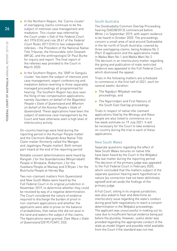- In the Northern Region, the 'Cairns cluster' of overlapping claims continues to be the subject of intensive case management and mediation. This cluster was referred by the Court under s 54A of the Federal Court Act 1976 (Cth) and rule 28.61 of the Federal Court Rules 2011 (Cth) to two independent referees – the President of the National Native Title Tribunal, the Honourable John Dowsett AM QC, and the anthropologist Dr Paul Burke for inquiry and report. The final report of the referees was provided to the Court in March 2020.
- In the Southern Region, the 'GNP or Gangulu cluster' has been the subject of intensive joint case management, expert conferencing and mediation before reverting to three separately managed proceedings all programmed for hearing. The Southern Region has also seen the filing of two compensation applications, namely Saunders on behalf of the Bigambul People v State of Queensland and Wharton on behalf of the Kooma People v State of Queensland. These applications have been the subject of extensive case management by the Court and have otherwise seen a high level of interlocutory activity.

On-country hearings were held during the reporting period in the Kurtijar People matter and the Clermont-Belyando Area Native Title Claim matter (formerly called the Wangan and Jagalingou People matter). Both remain part-heard at the end of the reporting period.

Notable consent determinations were heard by Rangiah J for the Quandamooka (Minjerrabah) People in Brisbane, Robertson J for the Yuwibara People at Mackay and O'Bryan J for the Butchulla People at Hervey Bay.

Two non-claimant matters from Queensland and New South Wales were heard by the Full Federal Court in its original jurisdiction in November 2019, to determine whether they could be resolved by way of a negative determination. The Court considered the nature of evidence required to discharge the burden of proof in non-claimant applications and whether the applicants were able to prove on the balance of probabilities, that native title did not exist in the land and waters the subject of the claims. The Applications were granted. (See Mace v State of Queensland [2019] FCAFC 233).

#### South Australia

The Ooodnadatta Common Overlap Proceeding hearing (SAD38/2013) commenced before White J in September 2019, with expert evidence to be heard in October 2020. The proceedings concern a small area of land around Oodnadatta in the far north of South Australia, covered by three overlapping claims: being Arabana No 2 (Part 2) application and the applications made in Walka Wani No 1 and Walka Wani No 2. The decision in an interlocutory matter regarding the giving and publication of male restricted evidence was appealed to the Full Federal Court, which dismissed the appeal.

Trials in the following matters are scheduled to commence in the first half of 2021, each for several weeks' duration:

- The Ngadjuri Wilyakali overlap proceedings, and
- The Ngarrindjeri and First Nations of the South East Overlap proceedings.

Trials in respect of native title claimant applications filed by the Wirangu and Nauo people are also listed to commence on a five week estimate on 19 July 2021. It will be necessary for the Court to take evidence on-country during the trial in each of these applications.

#### New South Wales

Separate questions regarding the effect of New South Wales tenures on native title have been heard by the Court in the Widjabul Wia-bal matter during the reporting period. The decision of the primary judge was appealed to the Full Federal Court in February 2020, which concluded that the matters subject of the separate question hearing were hypothetical in nature (as connection had not been definitively agreed) and set aside the findings of the primary judge.

A Full Court, sitting in its original jurisdiction, was also asked to hear and determine an interlocutory issue regarding the state's conduct during good faith negotiations to reach a consent determination in the Widjabul proceedings. The applicant was unsuccessful in making out its case due to insufficient factual evidence being put before the plurality. However, useful obiter was provided regarding the appropriate conduct of the state as model litigant and possible relief available from the Court if the standard was not met.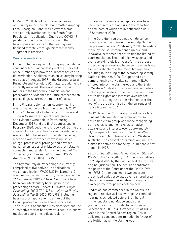In March 2020, Jagot J convened a hearing on-country in the non-claimant matter Wagonga Local Aboriginal Land, which covers a small area entirely overlapped by the South Coast People claim application. Due to the COVID-19 pandemic, the on-country portion of the hearing was reduced and the hearing was finalised remotely through Microsoft Teams. Judgment is reserved.

#### Western Australia

In the Kimberley region (following eight additional consent determinations this year), 93.5 per cent of the Kimberley is now the subject of native title determination. Additionally, an on-country hearing took place in August 2019 in the Gajangana Jaru, Purnululu and Purnululu #2 matters. Judgment is currently reserved. There are currently four matters in the Kimberley in mediation and preservation of evidence for future compensation proceedings is currently a matter of focus.

In the Pilbara region, an on-country hearing was convened before Mortimer J in July 2019 for the Yinhawangka Gobawarrah, Jurruru and Jurruru #2 matters. Expert conferences and evidence were held in Perth during December 2019 and the final submissions in February 2020. Judgment is reserved. During the course of the substantive hearing, a subpoena was sought to be served. To decide the issue, a hearing was convened canvassing issues of legal professional privilege and provides guidance on issues of privilege as they relate to connection materials: Tommy on behalf of the Yinhawangka Gobawarrah v State of Western Australia (No 2) [2019] FCA1551.

The Nyamal Palyku Proceedings is currently comprised of five native title applications. A sixth application, WAD26/2019 Nyamal #10, was finalised at an on-country determination on 24 September 2019 at Shaw River. There have been two interlocutory hearings in these proceedings before Reeves J , Nyamal Palyku Proceeding [2020] FCA 428 and Nyamal Palyku Proceeding (No 2) [2020] FCA 788, including hearing of an application to strike out the Palyku proceeding as an abuse of process. The strike out application was dismissed and the substantive matter has now returned to intensive mediation before the judicial registrar.

Two revised determination applications have been filed in this region during the reporting period, both of which are in notification until 16 September 2020.

In the Geraldton region, a native title consent determination recognising the Yamatji Nation people was made on 7 February 2020. The orders made by the Court represent a unique and innovative settlement of native title facilitated by court mediation. The mediation was convened over approximately four years for the purpose of resolving six overlaps between the underlying five separate claims. The mediated agreement resulting in the filing of the overarching Yamatji Nation claim in mid-2019, supported by a comprehensive native title settlement ILUA entered into by the claim group and the State of Western Australia. The determination orders include positive determination of non-exclusive native title rights and interests over limited parcels and a negative determination over the rest of the area premised on the surrender of native title in the ILUA.

On 17 December 2019, a significant native title consent determination in favour of the Gnulli native title claim group was made recognising both exclusive and non-exclusive native title rights and interests over approximately 71,354 square kilometres in the Upper West Gascoyne and Murchison regions of Western Australia. The consent determination finalises claims for native title made by Gnulli people first lodged in 1997.

Drury on behalf of the Nanda People v State of Western Australia [2020] FCAFC 69 was delivered on 21 April 2020 by the Full Federal Court in its original jurisdiction. The decision confirmed the power of the Court under the Native Title Act 1993 (Cth) to determine two separate prescribed body corporates over a shared area where the non-exclusive native title rights of two separate groups was determined.

Mediation has commenced in the Goldfields region to resolve various overlaps. A connection hearing is scheduled before Bromberg J in the longstanding Maduwongga claim (Kalgoorlie and surrounds) to commence in December 2020. On 30 October 2019, at Turtle Creek in the Central Desert region, Colvin J delivered a consent determination in favour of the Kultju native title claim group.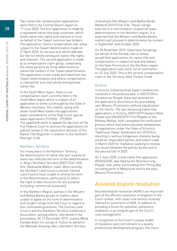Two native title compensation applications were filed in the Central Desert region on 17 June 2020. The first application is made by a registered native title body corporate, which holds native title rights and interests in trust on behalf of the Tjiwarl common law holders. The application claims compensation over areas subject to the Tjiwarl determination made on 27 April 2020, for various acts which affected but did not wholly extinguish native title rights and interests. The second application is made by a compensation claim group, comprising the same persons as those determined as native title holders in the Tjiwarl determination. The application is over areas excluded from the Tjiwarl determination and where compensation is claimed for acts that wholly extinguished native title.

In the South West region, there is one compensation claim currently filed in the South West region which is subject of an application to strike out brought by the State of Western Australia. This matter, along with seven South West native title applications, await consideration of the High Court special leave applications P1/2020 – P7/2020. The appellants wish to appeal the decision of the Full Federal Court to dismiss the applications for judicial review of the registration decision of the Native Title Registrar in relation to the Southern Noongar ILUA.

#### Northern Territory

For many years in the Northern Territory, the determination of native title over a pastoral lease has reflected the form of the determination in King v Northern Territory [2007] FCA 1498 (the 'Newcastle Waters' case). More recently, the Northern Land Council and the Central Land Council have sought to amend the form of the determination, particularly to reflect the right to take resources for any purpose (including commercial purposes).

In the Northern Region, parties in the Minyerri and Banka Banka groups of matters were unable to agree on the form of determination and sought rulings from the Court in regard to four unresolved provisions. The Central Land Council and the Northern Territory Cattlemen's Association, among others, intervened in the proceeding. On 19 December 2019, Justice White handed down his rulings in Fulton on behalf of the Mambali Amaling-Gan v Northern Territory

of Australia (the Minyerri and Banka Banka Matters) [2019] FCA 2156. These rulings have led to a reformulation of pastoral lease determinations in the Northern region. It is expected that the Minyerri and Banka Banka matters will proceed to determination by consent in September and October 2020.

On 28 November 2019, Galarrwuy Yunupingu (on behalf of the Gumatj clan or estate group) filed applications for native title and compensation in respect of land and waters on the Gove Peninsula in the Northern region. The applications will come out of notification on 22 July 2020. This is the second compensation claim in the Territory, after Timber Creek.

#### Victoria

In Victoria, following three expert conferences convened in the previous year in VID737/2014 Gunaikurnai People, leave was granted for the applicant to discontinue the proceeding over Wilsons Promontory without adjudication on the merits. The two remaining native title applications in Victoria, VID21/2019 Eastern Maar People and VID630/2015 First Peoples of the Millewa-Mallee, both completed the notification process which had previously been delayed due to negotiations under the State of Victoria's Traditional Owner Settlement Act 2010 (Vic), resulting in various Indigenous interests being joined as respondent parties and orders made in March 2020 for mediation seeking to resolve any issues between the parties by the end of the second half of 2020.

On 2 June 2020, a new native title application, VID363/2020, was filed by the Boonwurrung People, over areas surrounding Port Phillip Bay including parts of Melbourne and to the east, Wilsons Promontory.

## Assisted dispute resolution

Assisted dispute resolution (ADR) is an important part of the efficient resolution of litigation in the Court context, with cases now almost routinely referred to some form of ADR. In addition to providing a forum for potential settlement, mediation is an integral part of the Court's case management.

In recognition of the Court's unique model of mediation and commitment to a quality professional development program, the Court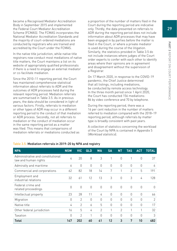became a Recognised Mediator Accreditation Body in September 2015 and implemented the Federal Court Mediator Accreditation Scheme (FCMAS). The FCMAS incorporates the National Mediator Accreditation Standards and the majority of court-ordered mediations are conducted by registrars who are trained and accredited by the Court under the FCMAS.

In the native title jurisdiction, while native title registrars now conduct most mediations of native title matters, the Court maintains a list on its website of appropriately qualified professionals if there is a need to engage an external mediator or co-facilitate mediation.

Since the 2010–11 reporting period, the Court has maintained comprehensive statistical information about referrals to ADR and the outcomes of ADR processes held during the relevant reporting period. Mediation referrals are summarised in Table 3.5. As in previous years, the data should be considered in light of various factors. Firstly, referrals to mediation or other types of ADR may occur in a different reporting period to the conduct of that mediation or ADR process. Secondly, not all referrals to mediation or the conduct of mediation occur in the same reporting period as a matter was filed. This means that comparisons of mediation referrals or mediations conducted as

a proportion of the number of matters filed in the Court during the reporting period are indicative only. Thirdly, the data presented on referrals to ADR during the reporting period does not include information about ADR processes that may have been engaged in by parties before the matter is filed in the Court, or where a private mediator is used during the course of the litigation. Similarly, the statistics provided in Table 3.5 do not include instances where judges of the Court order experts to confer with each other to identify areas where their opinions are in agreement and disagreement without the supervision of a Registrar.

On 17 March 2020, in response to the COVID-19 pandemic, the Chief Justice determined that all listings, including mediations, be conducted by remote access technology. In the three month period since 1 April 2020, the Court has conducted 156 mediations: 86 by video conference and 70 by telephone.

During the reporting period, there was a 16 per cent reduction in the number of matters referred to mediation compared with the 2018–19 reporting period, although referrals by matter type is broadly consistent with past years.

A collection of statistics concerning the workload of the Court by NPA is contained in Appendix 5 (Workload statistics).

| <b>NPA</b>                                                | <b>NSW</b> | VIC            | <b>QLD</b> | <b>WA</b>     | <b>SA</b> | <b>NT</b>      | <b>TAS</b>     | <b>ACT</b> | TOTAL          |
|-----------------------------------------------------------|------------|----------------|------------|---------------|-----------|----------------|----------------|------------|----------------|
| Administrative and constitutional<br>law and human rights | 4          | 20             | 8          | 3             |           | $\Omega$       | 1              | $\theta$   | 37             |
| Admiralty and maritime                                    | 6          | $\theta$       | 0          | $\Omega$      | $\theta$  | $\theta$       | $\theta$       | $\theta$   | 6              |
| Commercial and corporations                               | 62         | 82             | 18         | 14            | 7         | 1              | $\overline{2}$ | 5          | 191            |
| Employment and<br>industrial relations                    | 32         | 61             | 12         | 13            | 3         | $\mathbf 0$    | 3              | 4          | 128            |
| Federal crime and<br>related proceedings                  | 0          | $\Omega$       | $\theta$   | $\bigcap$     | $\Omega$  | $\theta$       | $\theta$       | $\bigcap$  | $\bigcap$      |
| Intellectual property                                     | 23         | 28             | 11         | 4             | $\Omega$  | $\theta$       | $\theta$       | $\Omega$   | 66             |
| Migration                                                 | 0          | $\overline{2}$ | $\theta$   | $\Omega$      | 0         | 0              | $\theta$       | 0          | $\overline{2}$ |
| Native title                                              | 4          | $\overline{2}$ | 6          | 5             | $\Omega$  | $\Omega$       | $\Omega$       | $\Omega$   | 17             |
| Other federal jurisdiction                                | 16         | 5              | 4          | $\mathcal{P}$ |           | $\overline{2}$ | 1              |            | 32             |
| Taxation                                                  | 0          | $\mathfrak{D}$ | 1          | $\cap$        | $\Omega$  | $\Omega$       | $\Omega$       | $\bigcap$  | 3              |
| <b>Total</b>                                              | 147        | 202            | 60         | 41            | 12        | 3              | 7              | 10         | 482            |

#### Table 3.5: Mediation referrals in 2019–20 by NPA and registry

29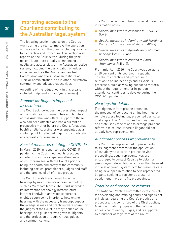## Improving access to the Court and contributing to the Australian legal system

The following section reports on the Court's work during the year to improve the operation and accessibility of the Court, including reforms to its practice and procedure. This section also reports on the Court's work during the year to contribute more broadly to enhancing the quality and accessibility of the Australian justice system, including the participation of judges in bodies such as the Australian Law Reform Commission and the Australian Institute of Judicial Administration, and in other law reform, community and educational activities.

An outline of the judges' work in this area is included in Appendix 8 (Judges' activities).

#### Support for litigants impacted by bushfires

The Court acknowledges the devastating impact of the bushfires on communities and families across Australia, and offered support to those who had been affected and had a current or prospective matter before the Court. A national bushfire relief coordinator was appointed as a contact point for affected litigants to coordinate any requests for assistance.

#### Special measures relating to COVID-19

In March 2020, in response to the COVID-19 pandemic, the Court modified its practices in order to minimise in-person attendance on court premises, with the Court's priority being the health and safety of the community, including parties, practitioners, judges and staff, and the families of all of these groups.

The Court quickly transitioned to online hearings by use of remote access technology such as Microsoft Teams. The Court upgraded its information technology infrastructure, internet bandwidth and video conference enabled courtrooms in order to hold online hearings with the necessary transcript support. Knowledge, issues and practices were shared by the judges of the Court, as they trialled online hearings, and guidance was given to litigants and the profession through various guides and communications.

The Court issued the following special measures information notes:

- Special measures in response to COVID-19 (SMIN-1)
- Special measures in Admiralty and Maritime: Warrants for the arrest of ships (SMIN-2)
- Special measures in Appeals and Full Court hearings (SMIN-3), and
- Special measures in relation to Court Attendance (SMIN-4).

From mid-April 2020, the Court was operating at 80 per cent of its courtroom capacity. The Court's practice and procedure in relation to online hearings and its various processes, such as viewing subpoena material without the requirement for in-person attendance, continues to develop during the COVID-19 pandemic.

#### Hearings for detainees

For litigants in immigration detention, the prospect of conducting online hearings by remote access technology presented particular challenges. The Court worked with national and state Bar Associations to arrange pro bono referrals to counsel where a litigant did not already have representation.

#### eLodgment process improvements

The Court has implemented improvements to its lodgment process for the application of pseudonyms to certain protection visa proceedings. Legal representatives are encouraged to contact Registry to obtain a pseudonym before filing, which can then be used in the eLodgment system. Similar measures are being developed in relation to self-represented litigants seeking to register as a user of eLodgment in order to file proceedings.

#### Practice and procedure reforms

The National Practice Committee is responsible for developing and refining policy and significant principles regarding the Court's practice and procedure. It is comprised of the Chief Justice, NPA coordinating judges and the national appeals coordinating judges, and is supported by a number of registrars of the Court.

30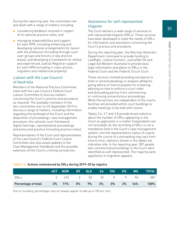During the reporting year, the committee met and dealt with a range of matters including:

- considering feedback received in respect of its national practice notes, and
- managing responsibilities and support for each NPA, including enhancing and developing national arrangements for liaison with the profession (including through court user-groups and forums in key practice areas), and developing a framework for skilled and experienced Judicial Registrar support for each NPA (including in class actions, migration and intellectual property).

#### Liaison with the Law Council of Australia

Members of the National Practice Committee meet with the Law Council's Federal Court Liaison Committee to discuss matters concerning the Court's practice and procedure, as required. The available members of the two committees met on 25 September 2019 to discuss a range of matters, including information regarding the workload of the Court and the disposition of proceedings, case management procedure, the national court framework, digital hearings, representative proceedings and policy and practice (including practice notes).

Representatives of the Court and representatives of the Law Council's Federal Court Liaison Committee also discussed updates to the Case Management Handbook and the possible extension of the Court's criminal jurisdiction.

#### Assistance for self-represented **litigants**

The Court delivers a wide range of services to self-represented litigants (SRLs). These services have been developed to meet the needs of SRLs for information and assistance concerning the Court's practice and procedure.

During the reporting year, the Attorney-General's Department continued to provide funding to LawRight, Justice Connect, JusticeNet SA and Legal Aid Western Australia to provide basic legal information and advice to SRLs in the Federal Court and the Federal Circuit Court.

These services involved providing assistance to draft or amend pleadings or prepare affidavits, giving advice on how to prepare for a hearing, advising on how to enforce a court order and dissuading parties from commencing or continuing unmeritorious proceedings. While the services are independent of the courts, facilities are provided within court buildings to enable meetings to be held with clients.

Tables 3.6, 3.7 and 3.8 provide broad statistics about the number of SRLs appearing in the Court as applicants in a matter (respondents are not recorded). As the recording of SRLs is not a mandatory field in the Court's case management system, and the representation status of a party during the course of a proceeding may vary from time to time, statistics shown in the tables are indicative only. In the reporting year, 587 people who commenced proceedings in the Court were identified as self-represented. The majority were appellants in migration appeals.

|                     |       | <b>ACT NSW L</b>  | NT    | QLD |    | SA TAS | <b>VIC</b> | <b>WA</b> | <b>TOTAL</b> |
|---------------------|-------|-------------------|-------|-----|----|--------|------------|-----------|--------------|
| SRLs                |       | 2 415 2 53 10 0 9 |       |     |    |        |            | 96        | 587          |
| Percentage of total | $0\%$ | 71%               | $0\%$ | 9%  | 2% | $0\%$  | $2\%$      | 16%       | 100%         |

#### Table 3.6: Actions commenced by SRLs during 2019–20 by registry

Due to rounding, percentages may not always appear to add up to 100 per cent.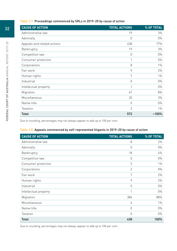#### Table 3.7: Proceedings commenced by SRLs in 2019–20 by cause of action

| <b>CAUSE OF ACTION</b>      | <b>TOTAL ACTIONS</b> | % OF TOTAL |
|-----------------------------|----------------------|------------|
| Administrative law          | 19                   | 3%         |
| Admiralty                   | 0                    | $0\%$      |
| Appeals and related actions | 438                  | 77%        |
| Bankruptcy                  | 19                   | 3%         |
| Competition law             | $\theta$             | $0\%$      |
| Consumer protection         | 1                    | $0\%$      |
| Corporations                | 8                    | $1\%$      |
| Fair work                   | 9                    | 2%         |
| Human rights                | 7                    | $1\%$      |
| Industrial                  | 0                    | $0\%$      |
| Intellectual property       |                      | $0\%$      |
| Migration                   | 47                   | 8%         |
| Miscellaneous               | 20                   | 3%         |
| Native title                | $\theta$             | $0\%$      |
| Taxation                    | 3                    | $1\%$      |
| <b>Total</b>                | 572                  | $~100\%$   |

Due to rounding, percentages may not always appear to add up to 100 per cent.

#### Table 3.8: Appeals commenced by self-represented litigants in 2019–20 by cause of action

| <b>CAUSE OF ACTION</b> | <b>TOTAL ACTIONS</b> | % OF TOTAL |
|------------------------|----------------------|------------|
| Administrative law     | 8                    | 2%         |
| Admiralty              | $\Omega$             | $0\%$      |
| Bankruptcy             | 18                   | 4%         |
| Competition law        | $\mathbf 0$          | $0\%$      |
| Consumer protection    | 5                    | $1\%$      |
| Corporations           | $\overline{2}$       | $0\%$      |
| Fair work              | 7                    | 2%         |
| Human rights           | 9                    | 2%         |
| Industrial             | $\mathbf 0$          | $0\%$      |
| Intellectual property  | 1                    | $0\%$      |
| Migration              | 384                  | 88%        |
| Miscellaneous          | 4                    | $1\%$      |
| Native title           | 0                    | $0\%$      |
| Taxation               | $\Omega$             | $0\%$      |
| Total                  | 438                  | 100%       |

Due to rounding, percentages may not always appear to add up to 100 per cent.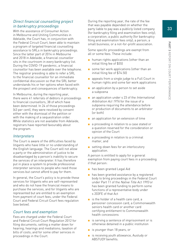#### Direct financial counselling project in bankruptcy proceedings

With the assistance of Consumer Action in Melbourne and Uniting Communities in Adelaide, the Court has, in conjunction with the Federal Circuit Court, been able to maintain a program of targeted financial counselling assistance to SRLs in bankruptcy proceedings. Since the latter part of 2014 in Melbourne and 2018 in Adelaide, a financial counsellor sits in the courtroom in every bankruptcy list. During the COVID-19 pandemic, a financial counsellor has been available over the telephone. The registrar presiding is able to refer a SRL to the financial counsellor for an immediate confidential discussion so that the SRL better understands his or her options when faced with the prospect and consequences of bankruptcy.

In Melbourne, during the reporting year, there were 41 referrals of debtors in proceedings to financial counsellors, 38 of which have been determined. In 24 of those proceedings (63 per cent), they were resolved by consent either with the dismissal of the petition or with the making of a sequestration order. While statistics are not available from Adelaide, registrars have reported favourably about the program.

#### Interpreters

The Court is aware of the difficulties faced by litigants who have little or no understanding of the English language. The Court will not allow a party or the administration of justice to be disadvantaged by a person's inability to secure the services of an interpreter. It has therefore put in place a system to provide professional interpreter services to people who need those services but cannot afford to pay for them.

In general, the Court's policy is to provide these services for litigants who are self-represented and who do not have the financial means to purchase the services, and for litigants who are represented but are entitled to an exemption from payment of court fees, under the Federal Court and Federal Circuit Court fees regulation (see below).

#### Court fees and exemption

Fees are charged under the Federal Court and Federal Circuit Court Regulation 2012 for filing documents; setting a matter down for hearing; hearings and mediations; taxation of bills of costs; and for some other services in proceedings in the Court.

During the reporting year, the rate of the fee that was payable depended on whether the party liable to pay was a publicly listed company (for bankruptcy filing and examination fees only); a corporation; a public authority (for bankruptcy filing and examination fees only); a person; a small business; or a not-for-profit association.

Some specific proceedings are exempt from all or some fees. These include:

- human rights applications (other than an initial filing fee of \$55)
- some fair work applications (other than an initial filing fee of \$74.50)
- appeals from a single judge to a Full Court in human rights and some fair work applications
- an application by a person to set aside a subpoena
- an application under s 23 of the *International* Arbitration Act 1974 for the issue of a subpoena requiring the attendance before or production of documents to an arbitrator (or both)
- an application for an extension of time
- a proceeding in relation to a case stated or a question reserved for the consideration or opinion of the Court
- a proceeding in relation to a criminal matter, and
- setting-down fees for an interlocutory application.

A person is entitled to apply for a general exemption from paying court fees in a proceeding if that person:

- has been granted Legal Aid
- has been granted assistance by a registered body to bring proceedings in the Federal Court under Part 11 of the Native Title Act 1993 or has been granted funding to perform some functions of a representative body under s 203FE of that Act
- is the holder of a health care card, a pensioner concession card, a Commonwealth seniors health card or another card certifying entitlement to Commonwealth health concessions
- is serving a sentence of imprisonment or is otherwise detained in a public institution
- is younger than 18 years, or
- is receiving youth allowance, Austudy or ABSTUDY benefits.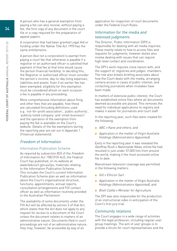A person who has a general exemption from paying a fee can also receive, without paying a fee, the first copy of any document in the court file or a copy required for the preparation of appeal papers.

A corporation that had been granted Legal Aid or funding under the Native Title Act 1993 has the same entitlements.

A person (but not a corporation) is exempt from paying a court fee that otherwise is payable if a registrar or an authorised officer is satisfied that payment of that fee at that time would cause the person financial hardship. In deciding this, the Registrar or authorised officer must consider the person's income, day-to-day living expenses, liabilities and assets. Even if an earlier fee has been exempted, eligibility for this exemption must be considered afresh on each occasion a fee is payable in any proceeding.

More comprehensive information about filing and other fees that are payable, how these are calculated (including definitions used e.g. 'not-for-profit association', 'public authority', 'publicly listed company' and 'small business') and the operation of the exemption from paying the fee is available on the Court's website. Details of the fee exemptions during the reporting year are set out in Appendix 1 (Financial statements).

#### Freedom of Information

#### Information Publication Scheme

As required by subsection 8(2) of the Freedom of Information Act 1982 (FOI Act), the Federal Court has published, on its website at [www.fedcourt.gov.au/ips](http://www.fedcourt.gov.au/ips), materials relating to the Information Publication Scheme. This includes the Court's current Information Publication Scheme plan as well as information about the Court's organisational structure, functions, appointments, annual reports, consultation arrangements and FOI contact officer as well as information routinely provided to the Australian Parliament.

The availability of some documents under the FOI Act will be affected by section 5 of that Act, which states that the Act does not apply to any request for access to a document of the Court unless the document relates to matters of an administrative nature. Documents filed in court proceedings are not of an administrative nature; they may, however, be accessible by way of an

application for inspection of court documents under the Federal Court Rules.

#### Information for the media and televised judgments

The Director, Public Information (DPI) is responsible for dealing with all media inquiries. These mainly relate to how to access files and requests for judgments, however duties also involve dealing with issues that can require high-level contact and coordination.

The DPI's work requires close liaison with, and the support of, registries and judges' chambers. The role also entails briefing associates about how the Court deals with the media, arranging camera access in cases of public interest, and contacting journalists when mistakes have been made.

In matters of extensive public interest, the Court has established online files where all documents deemed accessible are placed. This removes the need for individual applications to registry and makes it easier for journalists and court staff.

In the reporting year, such files were created for the following:

- ABC v Kane and others, and
- Application in the matter of Virgin Australia Holdings (Administrators Appointed).

Early in the reporting year it was revealed the Geoffrey Rush v Nationwide News online file had resulted in just under 37,000 hits from around the world, making it the most accessed online file to date.

Mainstream television coverage was permitted in the following matters:

- Gill v Ethicon Sarl
- Application in the matter of Virgin Australia Holdings (Administrators Appointed), and
- Brett Cattle *v* Minister for Agriculture.

The DPI was also responsible for the production of an instructional video in anticipation of the Court's first jury trial.

#### Community relations

The Court engages in a wide range of activities with the legal profession, including regular user group meetings. The aim of user groups is to provide a forum for court representatives and the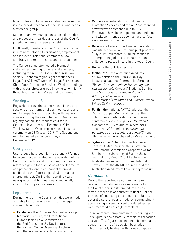legal profession to discuss existing and emerging issues, provide feedback to the Court and act as a reference group.

Seminars and workshops on issues of practice and procedure in particular areas of the Court's jurisdiction are also regularly held.

In 2019–20, members of the Court were involved in seminars relating to arbitration, employment and industrial relations, commercial law, admiralty and maritime, tax, and class actions.

The Canberra registry hosted a biannual stakeholder meeting for legal stakeholders, including the ACT Bar Association, ACT Law Society, Canberra region legal practitioners, Legal Aid ACT, ACT Women's Legal Services and Child Youth Protection Services. Weekly meetings with this stakeholder group (moving to fortnightly throughout the COVID-19 period) continued.

#### Working with the Bar

Registries across the country hosted advocacy sessions and a number of bar moot courts and moot competitions and assisted with readers' courses during the year. The South Australian registry hosted Bar Readers courses in October, November and December 2019. The New South Wales registry hosted a silks ceremony on 28 October 2019. The Queensland registry hosted a silks ceremony in December 2019.

#### User groups

User groups have been formed along NPA lines to discuss issues related to the operation of the Court, its practice and procedure, to act as a reference group for discussion of developments and proposals, and as a channel to provide feedback to the Court on particular areas of shared interest. During the reporting year, user groups met both nationally and locally in a number of practice areas.

#### Legal community

During the year, the Court's facilities were made available for numerous events for the legal community including:

■ Brisbane – the Professor Michael Whincop Memorial Lecture, the International Humanitarian Law Committee of the Red Cross, the UN Day Lecture, the Richard Cooper Memorial Lecture, and the international arbitration lecture.

- **Canberra** co-location of Child and Youth Protection Services and the AFP commenced, however was postponed due to COVID-19. Employees have been appointed and inducted and will commence as soon as face-to-face services re-commence.
- **Darwin** a Federal Court mediation suite was utilised for a Family Court pilot program (July 2019 until March 2020) for parties to attempt to negotiate orders rather than a child being placed in care in the Youth Court.
- Hobart the UN Day Lecture.
- Melbourne the Australian Academy of Law seminar, the UNCCA UN Day Lecture, a National Commercial Seminar 'Recent Developments in Misleading and Unconscionable Conduct', National Seminar 'The Boundaries of Refugee Protection: A Comparative View', and Judges in Conversation 'Limitations on Judicial Review: Where To From Here?'.
- Perth the national AMTAC address, the Richard Cooper Memorial Lecture, the John Emerson AM oration, an online web conference 'Cruise ships, COVID-19 and Consumers', CIArb Australia seminars a national VCF seminar on *parentage*. parenthood and parental responsibility and UN Day, which was chaired by McKerracher J.
- **Bydney** the Richard Cooper Memorial Lecture, CIArb seminar, the Australian Law Reform Commission Corporate Crime Seminar, the University of Sydney Jessup Team Moots, Minds Count Lecture, the Australian Association of Constitutional Law lecture, the AMTAC address, and the Australian Academy of Law joint symposium.

#### **Complaints**

During the reporting year, complaints in relation to registry services were made to the Court regarding its procedures, rules, forms, timeliness or courtesy to users. For the purpose of collecting data about complaints, several discrete reports made by a complainant about a single issue or a set of related issues were recorded as a single complaint.

There were five complaints in the reporting year. This figure is down from 12 complaints recorded last year. This figure does not include complaints about the merits of a decision by a judge, which may only be dealt with by way of appeal,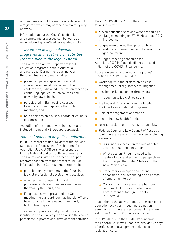or complaints about the merits of a decision of a registrar, which may only be dealt with by way of review.

Information about the Court's feedback and complaints processes can be found at [www.fedcourt.gov.au/feedback-and-complaints](http://www.fedcourt.gov.au/feedback-and-complaints).

#### Involvement in legal education programs and legal reform activities (contribution to the legal system)

The Court is an active supporter of legal education programs, both in Australia and overseas. During the reporting year, the Chief Justice and many judges:

- presented papers, gave lectures and chaired sessions at judicial and other conferences, judicial administration meetings, continuing legal education courses and university law schools
- participated in Bar reading courses, Law Society meetings and other public meetings, and
- held positions on advisory boards or councils or committees.

An outline of the judges' work in this area is included in Appendix 8 (Judges' activities).

#### National standard on judicial education

In 2010 a report entitled 'Review of the National Standard for Professional Development for Australian Judicial Officers' was prepared for the National Judicial College of Australia. The Court was invited and agreed to adopt a recommendation from that report to include information in the Court's annual report about:

- participation by members of the Court in judicial professional development activities
- whether the proposed standard for professional development was met during the year by the Court, and
- if applicable, what prevented the Court meeting the standard (such as judicial officers being unable to be released from court, lack of funding etc.).

The standard provides that judicial officers identify up to five days a year on which they could participate in professional development activities. During 2019–20 the Court offered the following activities:

- eleven education sessions were scheduled at the judges' meeting on 27–29 November 2019 (in Melbourne)
- judges were offered the opportunity to attend the Supreme Court and Federal Court judges' conference.

The judges' meeting scheduled for April–May 2020 in Adelaide did not proceed, in light of the COVID-19 pandemic.

Education sessions offered at the judges' meetings in 2019–20 included:

- workshop with the profession on case management of regulatory civil litigation
- session for judges under three years
- introduction to judicial registrars
- the Federal Court's work in the Pacific: the Court's international programs
- judicial management of emotion
- sleep: the new health frontier
- recent developments in constitutional law
- Federal Court and Law Council of Australia joint conference on competition law, including sessions on:
	- Current perspective on the role of patent law in stimulating innovation
	- What does an IP regime need to be useful? Legal and economic perspectives from Europe, the United States and the Asia Pacific region
	- □ Trade marks, designs and patent oppositions: new technologies and areas of emerging interest
	- □ Copyright authorisation, safe harbour regimes; Hot topics in trade marks; Enforcement of foreign IP rights in Australia.

In addition to the above, judges undertook other education activities through participation in seminars and conferences. Some of these are set out in Appendix 8 (Judges' activities).

In 2019–20, due to the COVID-19 pandemic, the Federal Court was unable to provide five days of professional development activities for its judicial officers.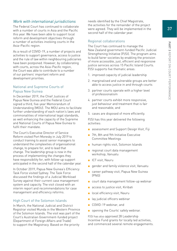37

#### Work with international jurisdictions

The Federal Court has continued to collaborate with a number of courts in Asia and the Pacific this year. We have been able to support local reform and development objectives through a number of activities involving courts in the Asia–Pacific region.

As a result of COVID-19, a number of projects and activities to support governance, access to justice and the rule of law within neighbouring judiciaries have been postponed. However, by collaborating with courts, across the Asia-Pacific region, the Court was able to contribute to a number of our partners' important reform and development priorities.

#### National and Supreme Courts of Papua New Guinea

In December 2019, the Chief Justices of Papua New Guinea and the Federal Court signed a third, five-year Memorandum of Understanding (MOU). The MOU aims to facilitate further understanding of each nation's laws and commonalities of international legal standards, as well enhancing the capacity of the Supreme and National Courts of Papua New Guinea to fulfil their mandate.

The Court's Executive Director of Service Reform visited Port Moresby in July 2019 to conduct training to assist senior managers to understand the complexities of organisational change, to prepare for, and to lead that change. The leadership group is now in the process of implementing the changes they have responsibility for, with follow-up support anticipated in the second half of the calendar year.

In October 2019, Papua New Guinea's Efficiency Task Force visited Sydney. The Task Force discussed the findings of a Judicial Workload Survey against their current case management system and capacity. The visit closed with an interim report and recommendations for case management and efficiency reforms.

#### High Court of the Solomon Islands

In March, the National Judicial and District Registrar visited Munda in the Western Province of the Solomon Islands. The visit was part of the Court's Australian Government-funded project (Department of Foreign Affairs and Trade) to support the Magistracy. Based on the priority

needs identified by the Chief Magistrate, the activities for the remainder of the project were agreed. They will be implemented in the second half of the calendar year.

#### Regional collaborations

The Court has continued to manage the New Zealand government-funded Pacific Judicial Strengthening Initiative (PJSI). The program aims to build fairer societies by enabling the provision of more accessible, just, efficient and responsive justice services across 15 Pacific Island Courts. PJSI supports five thematic areas:

- 1. improved capacity of judicial leadership
- 2. marginalised and vulnerable groups are better able to access justice in and through courts
- 3. partner courts operate with a higher level of professionalism
- 4. partner courts exhibit more responsive, just behaviour and treatment that is fair and reasonable, and
- 5. cases are disposed of more efficiently.

PJSI has this year delivered the following activities:

- assessment and Support Design Visit, Fiji
- 7th, 8th and 9th Initiative Executive Committee Meetings
- human rights visit, Solomon Islands
- regional court data management workshop, Vanuatu
- ICT visit, Nauru
- gender and family violence visit, Vanuatu
- career pathway visit, Papua New Guinea (PNG)
- court data management follow-up webinar
- access to justice visit, Kiribati
- local efficiency visit, Nauru
- lay judicial officers webinar
- COVID-19 webinar, and
- opening the Courts' safely webinar.

PJSI has also approved 28 Leadership Incentive Fund grants for locally led activities, and commenced several remote engagements.